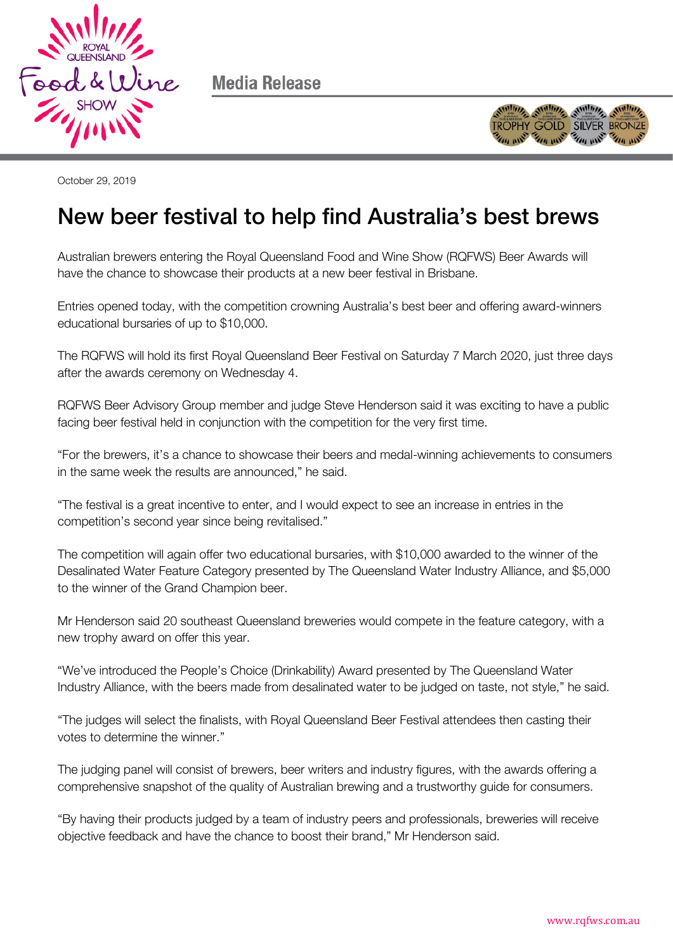

Media Release



October 29, 2019

## New beer festival to help find Australia's best brews

Australian brewers entering the Royal Queensland Food and Wine Show (RQFWS) Beer Awards will have the chance to showcase their products at a new beer festival in Brisbane.

Entries opened today, with the competition crowning Australia's best beer and offering award-winners educational bursaries of up to \$10,000.

The RQFWS will hold its first Royal Queensland Beer Festival on Saturday 7 March 2020, just three days after the awards ceremony on Wednesday 4.

RQFWS Beer Advisory Group member and judge Steve Henderson said it was exciting to have a public facing beer festival held in conjunction with the competition for the very first time.

"For the brewers, it's a chance to showcase their beers and medal-winning achievements to consumers in the same week the results are announced," he said.

"The festival is a great incentive to enter, and I would expect to see an increase in entries in the competition's second year since being revitalised."

The competition will again offer two educational bursaries, with \$10,000 awarded to the winner of the Desalinated Water Feature Category presented by The Queensland Water Industry Alliance, and \$5,000 to the winner of the Grand Champion beer.

Mr Henderson said 20 southeast Queensland breweries would compete in the feature category, with a new trophy award on offer this year.

"We've introduced the People's Choice (Drinkability) Award presented by The Queensland Water Industry Alliance, with the beers made from desalinated water to be judged on taste, not style," he said.

"The judges will select the finalists, with Royal Queensland Beer Festival attendees then casting their votes to determine the winner."

The judging panel will consist of brewers, beer writers and industry figures, with the awards offering a comprehensive snapshot of the quality of Australian brewing and a trustworthy guide for consumers.

"By having their products judged by a team of industry peers and professionals, breweries will receive objective feedback and have the chance to boost their brand," Mr Henderson said.